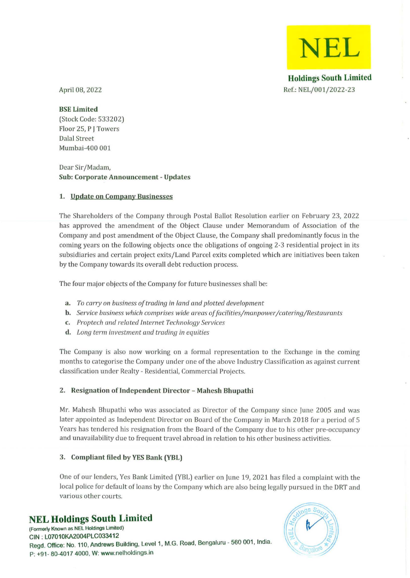**Holdings South Limited**  Ref.: NEL/001/2022-23

**NEL** 

April 08, 2022

### BSE Limited

(Stock Code: 533202) Floor 25, P J Towers Dalal Street Mumbai-400 001

Dear Sir/Madam, Sub: Corporate Announcement - Updates

### 1. Update on Company Businesses

The Shareholders of the Company through Postal Ballot Resolution earlier on February 23, 2022 has approved the amendment of the Object Clause under Memorandum of Association of the Company and post amendment of the Object Clause, the Company shall predominantly focus in the coming years on the following objects once the obligations of ongoing 2-3 residential project in its subsidiaries and certain project exits/Land Parcel exits completed which are initiatives been taken by the Company towards its overall debt reduction process.

The four major objects of the Company for future businesses shall be:

- a. *To carryon business of trading in land and plotted development*
- b. *Service business which comprises wide areas offacilities/manpower/catering/Restaurants*
- c. *Prop tech and related Internet Technology Services*
- d. *Long term investment and trading in equities*

The Company is also now working on a formal representation to the Exchange in the coming months to categorise the Company under one of the above Industry Classification as against current classification under Realty - Residential, Commercial Projects.

### 2\_ Resignation of Independent Director - Mahesh Bhupathi

Mr. Mahesh Bhupathi who was associated as Director of the Company since June 2005 and was later appointed as Independent Director on Board of the Company in March 2018 for a period of 5 Years has tendered his resignation from the Board of the Company due to his other pre-occupancy and unavailability due to frequent travel abroad in relation to his other business activities.

## 3. Compliant filed by YES Bank (YBL)

One of our lenders, Yes Bank Limited (YBL) earlier on June 19, 2021 has filed a complaint with the local police for default of loans by the Company which are also being legally pursued in the DRT and **various other courts.** 

# **NEL Holdings South Limited**

**(Formerly Known as NEL Holdings Limited)**  CIN: L07010KA2004PLC033412 Regd. Office: No. 110. Andrews Building. Level 1. M.G. Road. Bengaluru - 560 001. India. P: +91- 80-4017 4000. W: www.nelholdings.in